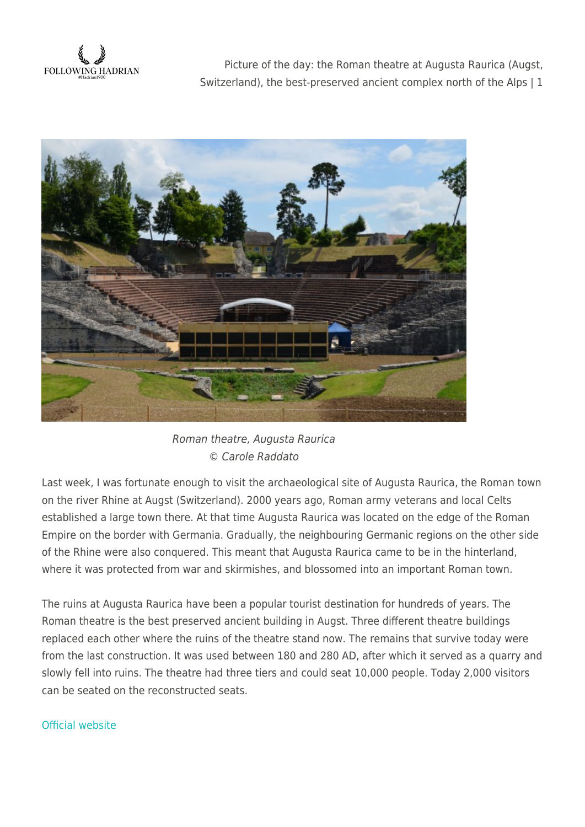**FOLLOWING HADRIAN** 

Picture of the day: the Roman theatre at Augusta Raurica (Augst, Switzerland), the best-preserved ancient complex north of the Alps | 1



Roman theatre, Augusta Raurica © Carole Raddato

Last week, I was fortunate enough to visit the archaeological site of Augusta Raurica, the Roman town on the river Rhine at Augst (Switzerland). 2000 years ago, Roman army veterans and local Celts established a large town there. At that time Augusta Raurica was located on the edge of the Roman Empire on the border with Germania. Gradually, the neighbouring Germanic regions on the other side of the Rhine were also conquered. This meant that Augusta Raurica came to be in the hinterland, where it was protected from war and skirmishes, and blossomed into an important Roman town.

The ruins at Augusta Raurica have been a popular tourist destination for hundreds of years. The Roman theatre is the best preserved ancient building in Augst. Three different theatre buildings replaced each other where the ruins of the theatre stand now. The remains that survive today were from the last construction. It was used between 180 and 280 AD, after which it served as a quarry and slowly fell into ruins. The theatre had three tiers and could seat 10,000 people. Today 2,000 visitors can be seated on the reconstructed seats.

## [Official website](http://www.augustaraurica.ch/e/menu/index.php)